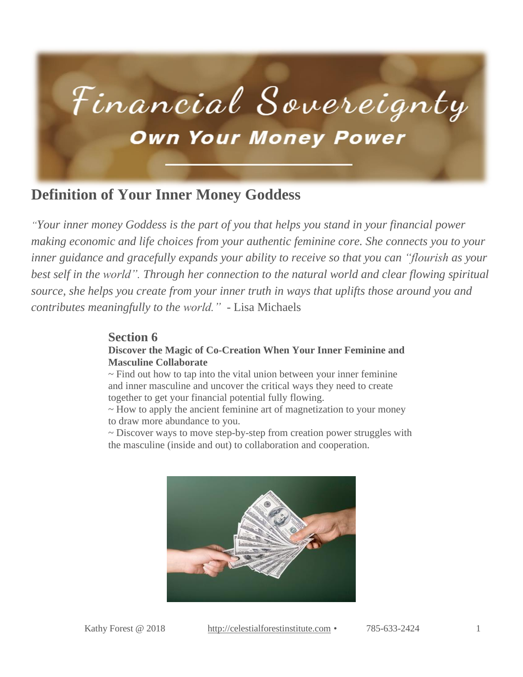

### **Definition of Your Inner Money Goddess**

*"Your inner money Goddess is the part of you that helps you stand in your financial power making economic and life choices from your authentic feminine core. She connects you to your inner guidance and gracefully expands your ability to receive so that you can "flourish as your best self in the world". Through her connection to the natural world and clear flowing spiritual source, she helps you create from your inner truth in ways that uplifts those around you and contributes meaningfully to the world."* - Lisa Michaels

#### **Section 6**

#### **Discover the Magic of Co-Creation When Your Inner Feminine and Masculine Collaborate**

 $\sim$  Find out how to tap into the vital union between your inner feminine and inner masculine and uncover the critical ways they need to create together to get your financial potential fully flowing.

~ How to apply the ancient feminine art of magnetization to your money to draw more abundance to you.

~ Discover ways to move step-by-step from creation power struggles with the masculine (inside and out) to collaboration and cooperation.

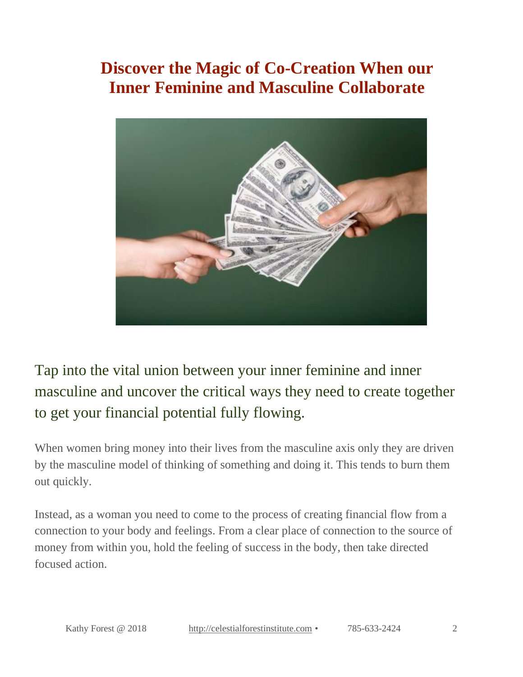## **Discover the Magic of Co-Creation When our Inner Feminine and Masculine Collaborate**



Tap into the vital union between your inner feminine and inner masculine and uncover the critical ways they need to create together to get your financial potential fully flowing.

When women bring money into their lives from the masculine axis only they are driven by the masculine model of thinking of something and doing it. This tends to burn them out quickly.

Instead, as a woman you need to come to the process of creating financial flow from a connection to your body and feelings. From a clear place of connection to the source of money from within you, hold the feeling of success in the body, then take directed focused action.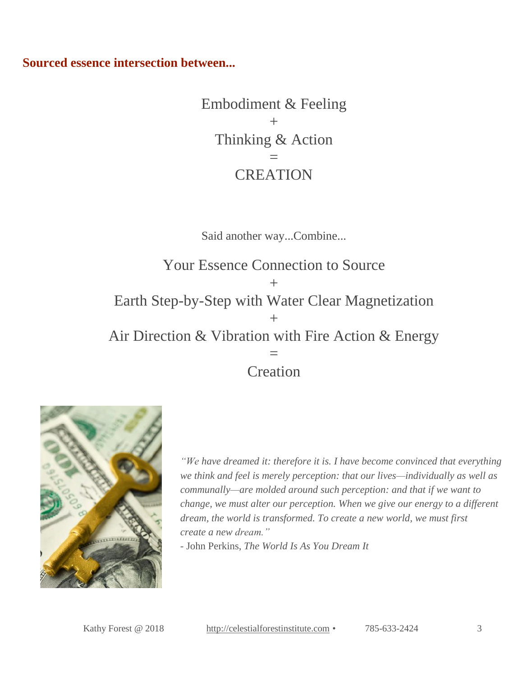**Sourced essence intersection between...**

Embodiment & Feeling  $+$ Thinking & Action = **CREATION** 

Said another way...Combine...

Your Essence Connection to Source  $+$ Earth Step-by-Step with Water Clear Magnetization  $+$ Air Direction & Vibration with Fire Action & Energy = Creation



*"We have dreamed it: therefore it is. I have become convinced that everything we think and feel is merely perception: that our lives—individually as well as communally—are molded around such perception: and that if we want to change, we must alter our perception. When we give our energy to a different dream, the world is transformed. To create a new world, we must first create a new dream."*

- John Perkins, *The World Is As You Dream It*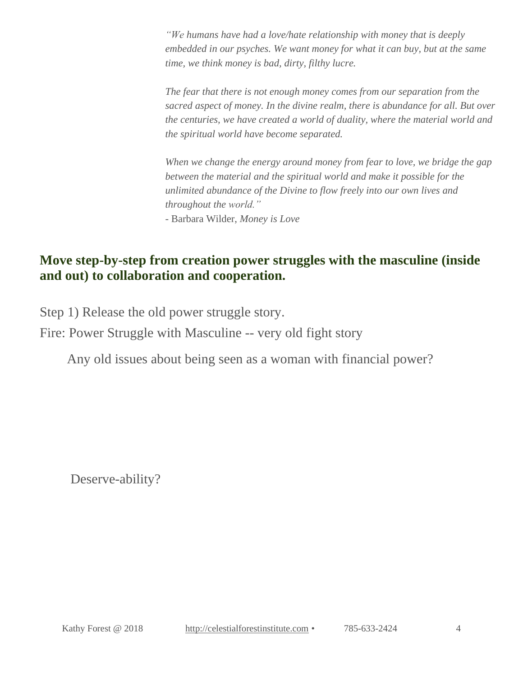*"We humans have had a love/hate relationship with money that is deeply embedded in our psyches. We want money for what it can buy, but at the same time, we think money is bad, dirty, filthy lucre.*

*The fear that there is not enough money comes from our separation from the sacred aspect of money. In the divine realm, there is abundance for all. But over the centuries, we have created a world of duality, where the material world and the spiritual world have become separated.*

*When we change the energy around money from fear to love, we bridge the gap between the material and the spiritual world and make it possible for the unlimited abundance of the Divine to flow freely into our own lives and throughout the world."*

- Barbara Wilder, *Money is Love*

#### **Move step-by-step from creation power struggles with the masculine (inside and out) to collaboration and cooperation.**

Step 1) Release the old power struggle story.

Fire: Power Struggle with Masculine -- very old fight story

Any old issues about being seen as a woman with financial power?

Deserve-ability?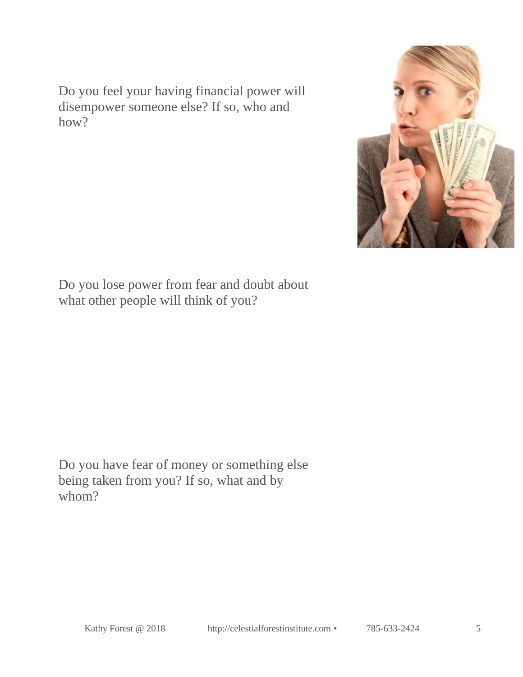Do you feel your having financial power will disempower someone else? If so, who and how?



Do you lose power from fear and doubt about what other people will think of you?

Do you have fear of money or something else being taken from you? If so, what and by whom?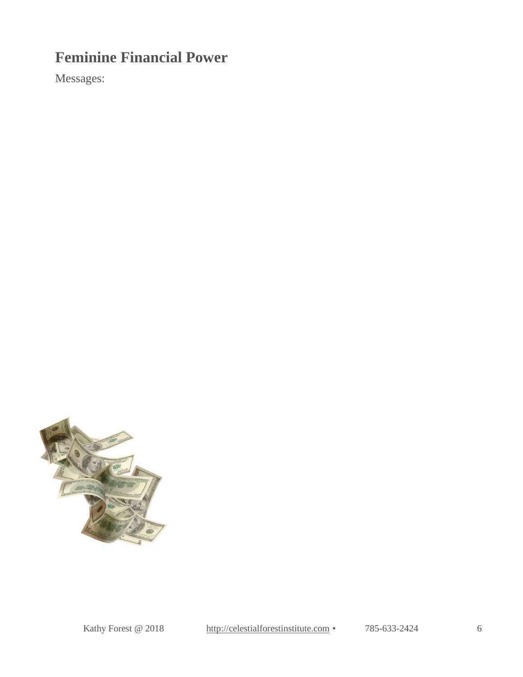## **Feminine Financial Power**

Messages:

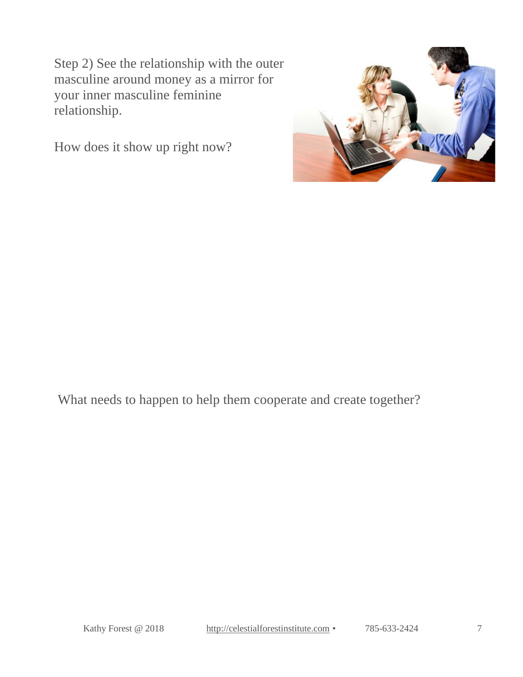Step 2) See the relationship with the outer masculine around money as a mirror for your inner masculine feminine relationship.

How does it show up right now?



What needs to happen to help them cooperate and create together?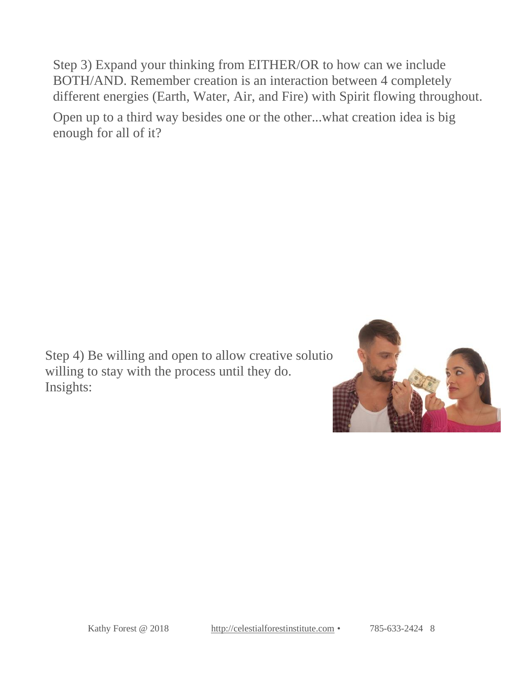Step 3) Expand your thinking from EITHER/OR to how can we include BOTH/AND. Remember creation is an interaction between 4 completely different energies (Earth, Water, Air, and Fire) with Spirit flowing throughout.

Open up to a third way besides one or the other...what creation idea is big enough for all of it?

Step 4) Be willing and open to allow creative solutions of  $\mathbb{R}$ willing to stay with the process until they do. Insights:

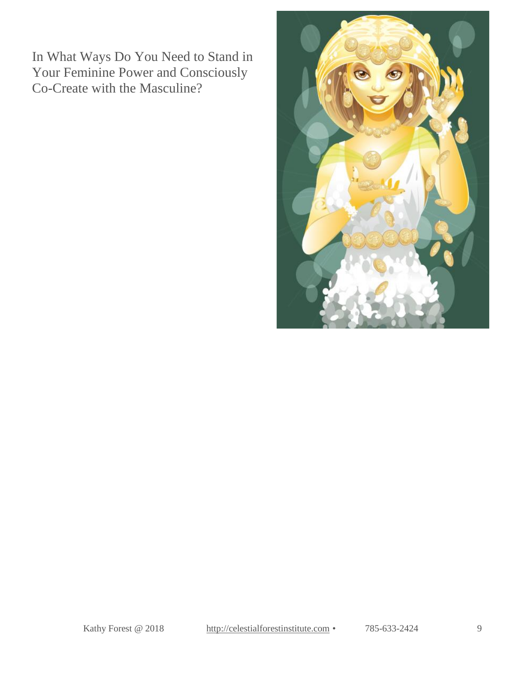In What Ways Do You Need to Stand in Your Feminine Power and Consciously Co-Create with the Masculine?

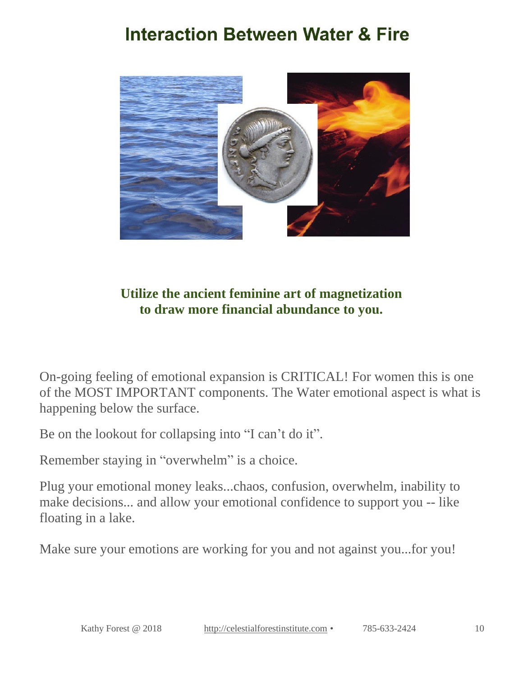# **Interaction Between Water & Fire**



### **Utilize the ancient feminine art of magnetization to draw more financial abundance to you.**

On-going feeling of emotional expansion is CRITICAL! For women this is one of the MOST IMPORTANT components. The Water emotional aspect is what is happening below the surface.

Be on the lookout for collapsing into "I can't do it".

Remember staying in "overwhelm" is a choice.

Plug your emotional money leaks...chaos, confusion, overwhelm, inability to make decisions... and allow your emotional confidence to support you -- like floating in a lake.

Make sure your emotions are working for you and not against you...for you!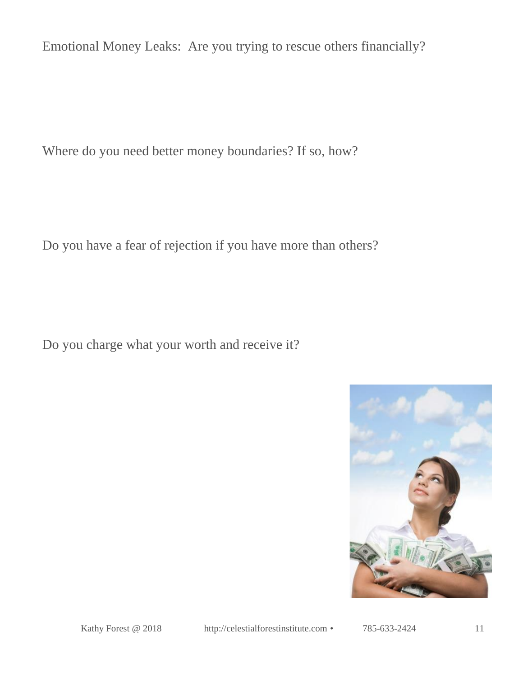Emotional Money Leaks: Are you trying to rescue others financially?

Where do you need better money boundaries? If so, how?

Do you have a fear of rejection if you have more than others?

Do you charge what your worth and receive it?



Kathy Forest @ 2018 [http://celestialforestinstitute.com](http://celestialforestinstitute.com/) • 785-633-2424 11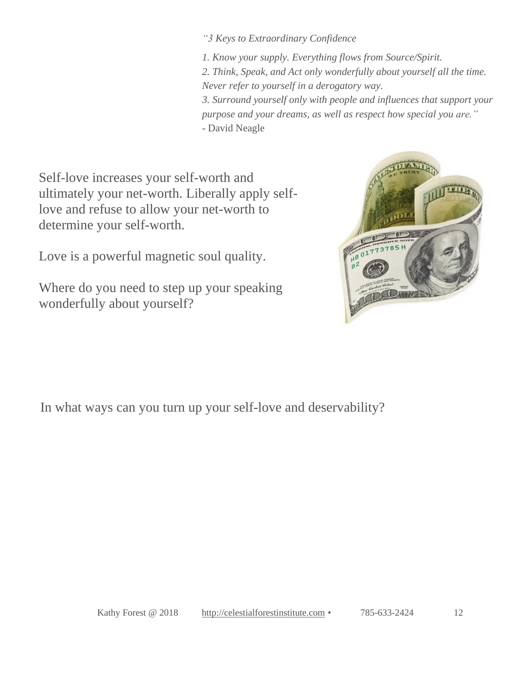*"3 Keys to Extraordinary Confidence*

*1. Know your supply. Everything flows from Source/Spirit. 2. Think, Speak, and Act only wonderfully about yourself all the time. Never refer to yourself in a derogatory way. 3. Surround yourself only with people and influences that support your purpose and your dreams, as well as respect how special you are."* - David Neagle

Self-love increases your self-worth and ultimately your net-worth. Liberally apply selflove and refuse to allow your net-worth to determine your self-worth.

Love is a powerful magnetic soul quality.

Where do you need to step up your speaking wonderfully about yourself?



In what ways can you turn up your self-love and deservability?